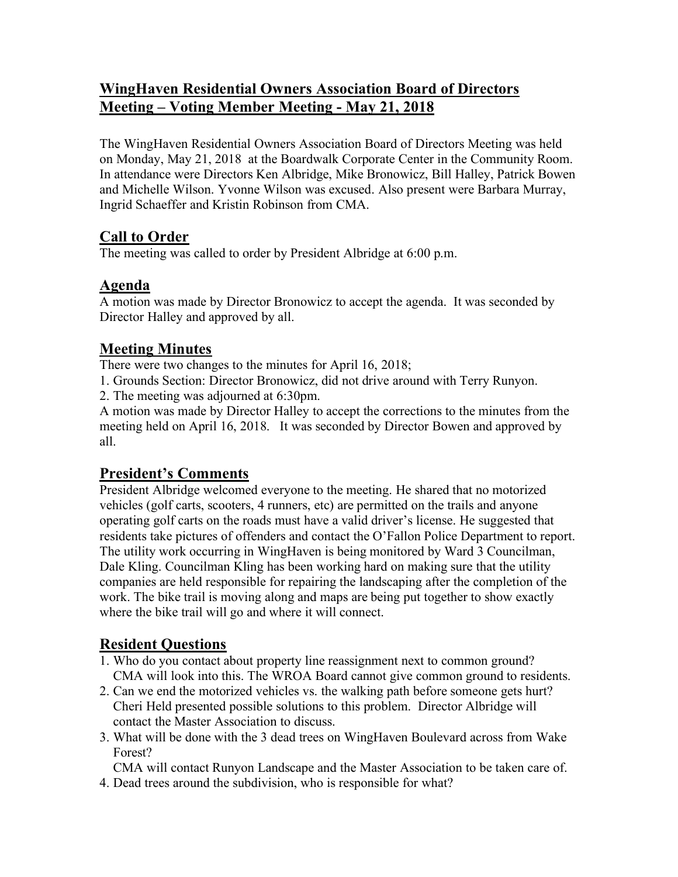# **WingHaven Residential Owners Association Board of Directors Meeting – Voting Member Meeting - May 21, 2018**

The WingHaven Residential Owners Association Board of Directors Meeting was held on Monday, May 21, 2018 at the Boardwalk Corporate Center in the Community Room. In attendance were Directors Ken Albridge, Mike Bronowicz, Bill Halley, Patrick Bowen and Michelle Wilson. Yvonne Wilson was excused. Also present were Barbara Murray, Ingrid Schaeffer and Kristin Robinson from CMA.

# **Call to Order**

The meeting was called to order by President Albridge at 6:00 p.m.

### **Agenda**

A motion was made by Director Bronowicz to accept the agenda. It was seconded by Director Halley and approved by all.

### **Meeting Minutes**

There were two changes to the minutes for April 16, 2018;

1. Grounds Section: Director Bronowicz, did not drive around with Terry Runyon.

2. The meeting was adjourned at 6:30pm.

A motion was made by Director Halley to accept the corrections to the minutes from the meeting held on April 16, 2018. It was seconded by Director Bowen and approved by all.

# **President's Comments**

President Albridge welcomed everyone to the meeting. He shared that no motorized vehicles (golf carts, scooters, 4 runners, etc) are permitted on the trails and anyone operating golf carts on the roads must have a valid driver's license. He suggested that residents take pictures of offenders and contact the O'Fallon Police Department to report. The utility work occurring in WingHaven is being monitored by Ward 3 Councilman, Dale Kling. Councilman Kling has been working hard on making sure that the utility companies are held responsible for repairing the landscaping after the completion of the work. The bike trail is moving along and maps are being put together to show exactly where the bike trail will go and where it will connect.

# **Resident Questions**

- 1. Who do you contact about property line reassignment next to common ground? CMA will look into this. The WROA Board cannot give common ground to residents.
- 2. Can we end the motorized vehicles vs. the walking path before someone gets hurt? Cheri Held presented possible solutions to this problem. Director Albridge will contact the Master Association to discuss.
- 3. What will be done with the 3 dead trees on WingHaven Boulevard across from Wake Forest?

 CMA will contact Runyon Landscape and the Master Association to be taken care of. 4. Dead trees around the subdivision, who is responsible for what?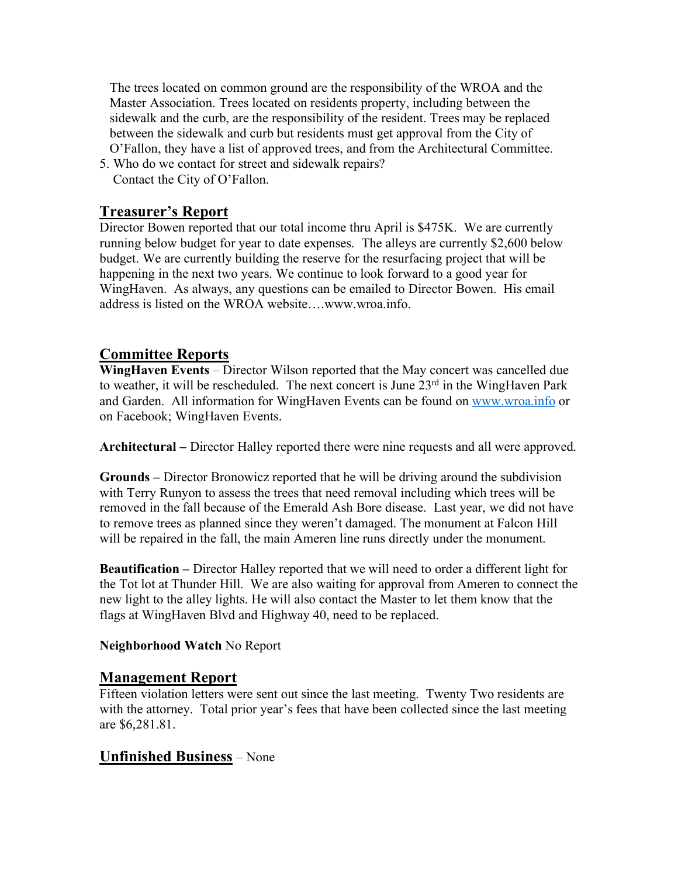The trees located on common ground are the responsibility of the WROA and the Master Association. Trees located on residents property, including between the sidewalk and the curb, are the responsibility of the resident. Trees may be replaced between the sidewalk and curb but residents must get approval from the City of O'Fallon, they have a list of approved trees, and from the Architectural Committee.

5. Who do we contact for street and sidewalk repairs? Contact the City of O'Fallon.

### **Treasurer's Report**

Director Bowen reported that our total income thru April is \$475K. We are currently running below budget for year to date expenses. The alleys are currently \$2,600 below budget. We are currently building the reserve for the resurfacing project that will be happening in the next two years. We continue to look forward to a good year for WingHaven. As always, any questions can be emailed to Director Bowen. His email address is listed on the WROA website….www.wroa.info.

### **Committee Reports**

**WingHaven Events** – Director Wilson reported that the May concert was cancelled due to weather, it will be rescheduled. The next concert is June 23<sup>rd</sup> in the WingHaven Park and Garden. All information for WingHaven Events can be found on www.wroa.info or on Facebook; WingHaven Events.

**Architectural –** Director Halley reported there were nine requests and all were approved.

**Grounds –** Director Bronowicz reported that he will be driving around the subdivision with Terry Runyon to assess the trees that need removal including which trees will be removed in the fall because of the Emerald Ash Bore disease. Last year, we did not have to remove trees as planned since they weren't damaged. The monument at Falcon Hill will be repaired in the fall, the main Ameren line runs directly under the monument.

**Beautification –** Director Halley reported that we will need to order a different light for the Tot lot at Thunder Hill. We are also waiting for approval from Ameren to connect the new light to the alley lights. He will also contact the Master to let them know that the flags at WingHaven Blvd and Highway 40, need to be replaced.

#### **Neighborhood Watch** No Report

#### **Management Report**

Fifteen violation letters were sent out since the last meeting. Twenty Two residents are with the attorney. Total prior year's fees that have been collected since the last meeting are \$6,281.81.

#### **Unfinished Business** – None